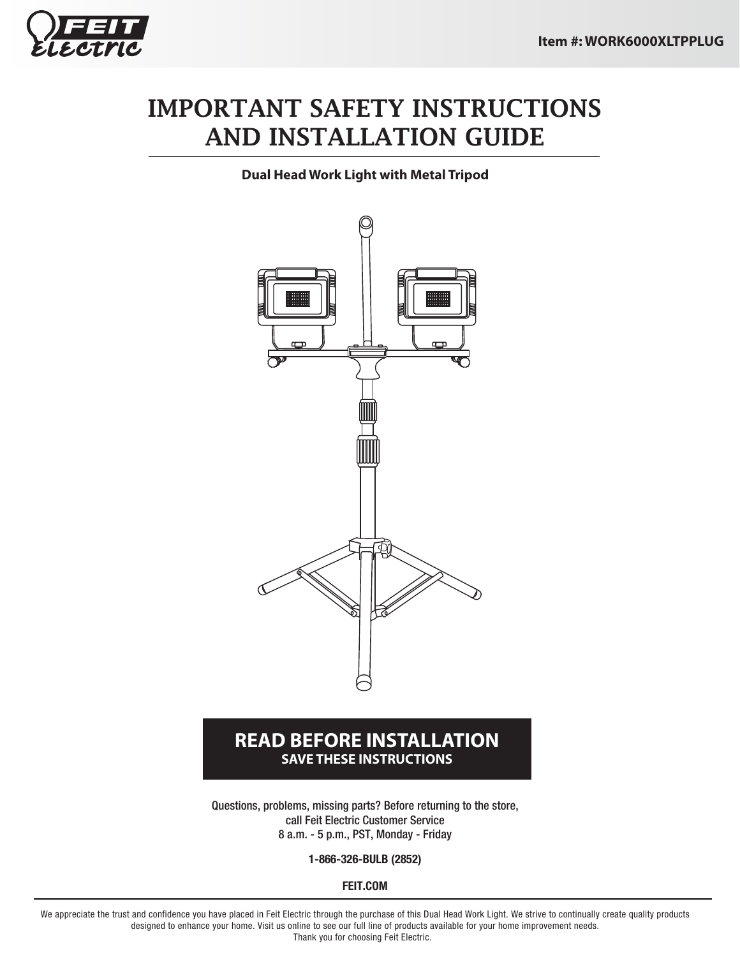

# IMPORTANT SAFETY INSTRUCTIONS AND INSTALLATION GUIDE

**Dual Head Work Light with Metal Tripod**



#### **READ BEFORE INSTALLATION SAVE THESE INSTRUCTIONS**

Questions, problems, missing parts? Before returning to the store, call Feit Electric Customer Service 8 a.m. - 5 p.m., PST, Monday - Friday

**1-866-326-BULB (2852)**

**FEIT.COM**

We appreciate the trust and confidence you have placed in Feit Electric through the purchase of this Dual Head Work Light. We strive to continually create quality products designed to enhance your home. Visit us online to see our full line of products available for your home improvement needs. Thank you for choosing Feit Electric.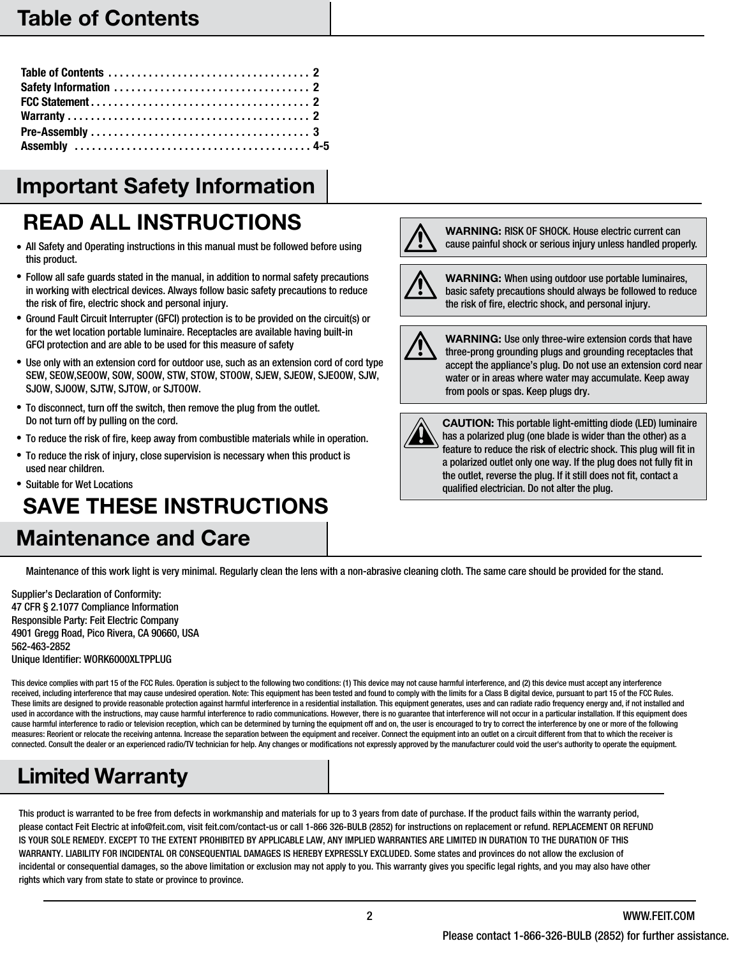### Table of Contents

# Important Safety Information

# READ ALL INSTRUCTIONS A WARNING: RISK OF SHOCK. House electric current can

- All Safety and Operating instructions in this manual must be followed before using this product.
- Follow all safe guards stated in the manual, in addition to normal safety precautions in working with electrical devices. Always follow basic safety precautions to reduce the risk of fire, electric shock and personal injury.
- Ground Fault Circuit Interrupter (GFCI) protection is to be provided on the circuit(s) or for the wet location portable luminaire. Receptacles are available having built-in GFCI protection and are able to be used for this measure of safety
- Use only with an extension cord for outdoor use, such as an extension cord of cord type SEW, SEOW,SEOOW, SOW, SOOW, STW, STOW, STOOW, SJEW, SJEOW, SJEOOW, SJW, SJOW, SJOOW, SJTW, SJTOW, or SJTOOW.
- To disconnect, turn off the switch, then remove the plug from the outlet. Do not turn off by pulling on the cord.
- To reduce the risk of fire, keep away from combustible materials while in operation.
- To reduce the risk of injury, close supervision is necessary when this product is used near children.
- Suitable for Wet Locations SAVE THESE INSTRUCTIONS

# Maintenance and Care





WARNING: When using outdoor use portable luminaires, basic safety precautions should always be followed to reduce the risk of fire, electric shock, and personal injury.



WARNING: Use only three-wire extension cords that have three-prong grounding plugs and grounding receptacles that accept the appliance's plug. Do not use an extension cord near water or in areas where water may accumulate. Keep away from pools or spas. Keep plugs dry.



CAUTION: This portable light-emitting diode (LED) luminaire has a polarized plug (one blade is wider than the other) as a feature to reduce the risk of electric shock. This plug will fit in a polarized outlet only one way. If the plug does not fully fit in the outlet, reverse the plug. If it still does not fit, contact a qualified electrician. Do not alter the plug.

Maintenance of this work light is very minimal. Regularly clean the lens with a non-abrasive cleaning cloth. The same care should be provided for the stand.

Supplier's Declaration of Conformity: 47 CFR § 2.1077 Compliance Information Responsible Party: Feit Electric Company 4901 Gregg Road, Pico Rivera, CA 90660, USA 562-463-2852 Unique Identifier: WORK6000XLTPPLUG

This device complies with part 15 of the FCC Rules. Operation is subject to the following two conditions: (1) This device may not cause harmful interference, and (2) this device must accept any interference received, including interference that may cause undesired operation. Note: This equipment has been tested and found to comply with the limits for a Class B digital device, pursuant to part 15 of the FCC Rules. These limits are designed to provide reasonable protection against harmful interference in a residential installation. This equipment generates, uses and can radiate radio frequency energy and, if not installed and used in accordance with the instructions, may cause harmful interference to radio communications. However, there is no guarantee that interference will not occur in a particular installation. If this equipment does cause harmful interference to radio or television reception, which can be determined by turning the equipment off and on, the user is encouraged to try to correct the interference by one or more of the following measures: Reorient or relocate the receiving antenna. Increase the separation between the equipment and receiver. Connect the equipment into an outlet on a circuit different from that to which the receiver is connected. Consult the dealer or an experienced radio/TV technician for help. Any changes or modifications not expressly approved by the manufacturer could void the user's authority to operate the equipment.

# Limited Warranty

This product is warranted to be free from defects in workmanship and materials for up to 3 years from date of purchase. If the product fails within the warranty period, please contact Feit Electric at info@feit.com, visit feit.com/contact-us or call 1-866 326-BULB (2852) for instructions on replacement or refund. REPLACEMENT OR REFUND IS YOUR SOLE REMEDY. EXCEPT TO THE EXTENT PROHIBITED BY APPLICABLE LAW, ANY IMPLIED WARRANTIES ARE LIMITED IN DURATION TO THE DURATION OF THIS WARRANTY. LIABILITY FOR INCIDENTAL OR CONSEQUENTIAL DAMAGES IS HEREBY EXPRESSLY EXCLUDED. Some states and provinces do not allow the exclusion of incidental or consequential damages, so the above limitation or exclusion may not apply to you. This warranty gives you specific legal rights, and you may also have other rights which vary from state to state or province to province.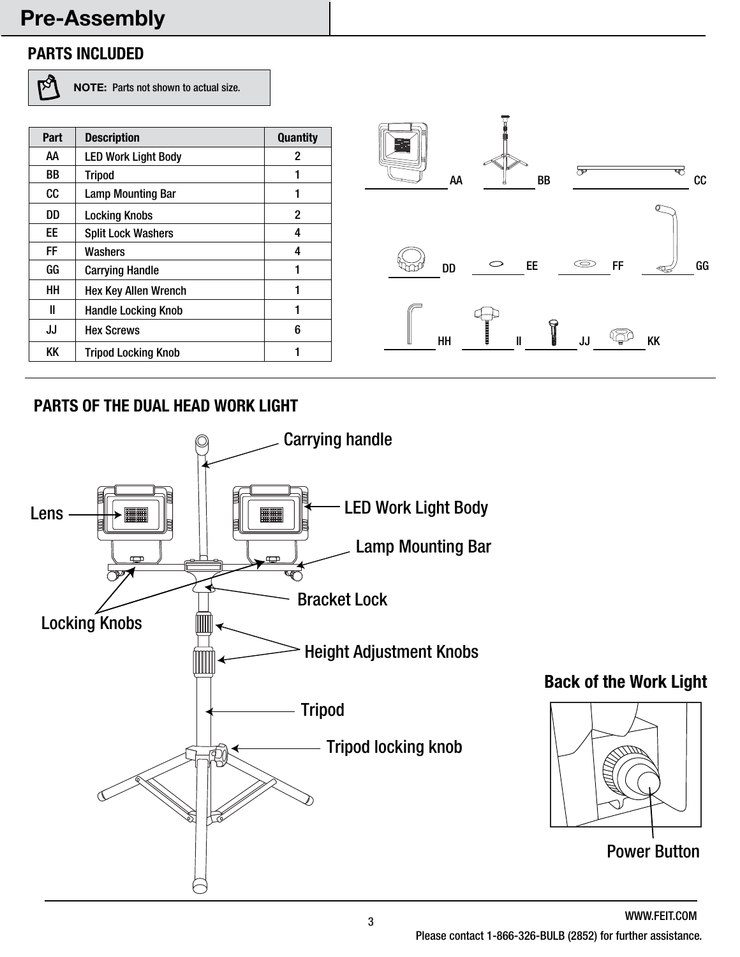### Pre-Assembly

#### **PARTS INCLUDED**

 $\overline{\mathbb{P}^3}$ 

NOTE: Parts not shown to actual size.

| Part | <b>Description</b>          | <b>Quantity</b> |                                                    |
|------|-----------------------------|-----------------|----------------------------------------------------|
| AA   | <b>LED Work Light Body</b>  | $\overline{2}$  |                                                    |
| BB   | <b>Tripod</b>               |                 | ా<br>AA<br>BB                                      |
| cc   | <b>Lamp Mounting Bar</b>    |                 |                                                    |
| DD   | <b>Locking Knobs</b>        | 2               |                                                    |
| EE   | <b>Split Lock Washers</b>   | 4               |                                                    |
| FF   | Washers                     | 4               |                                                    |
| GG   | <b>Carrying Handle</b>      |                 | $\circledcirc$<br>$\circ$<br>FF<br>EE<br><b>DD</b> |
| HH   | <b>Hex Key Allen Wrench</b> |                 |                                                    |
| Ш    | <b>Handle Locking Knob</b>  |                 |                                                    |
| JJ   | <b>Hex Screws</b>           | 6               | G<br><b>KK</b>                                     |
| KK   | <b>Tripod Locking Knob</b>  |                 | HH<br>JJ                                           |

#### **PARTS OF THE DUAL HEAD WORK LIGHT**



WWW.FEIT.COM Power Button

**SIDA**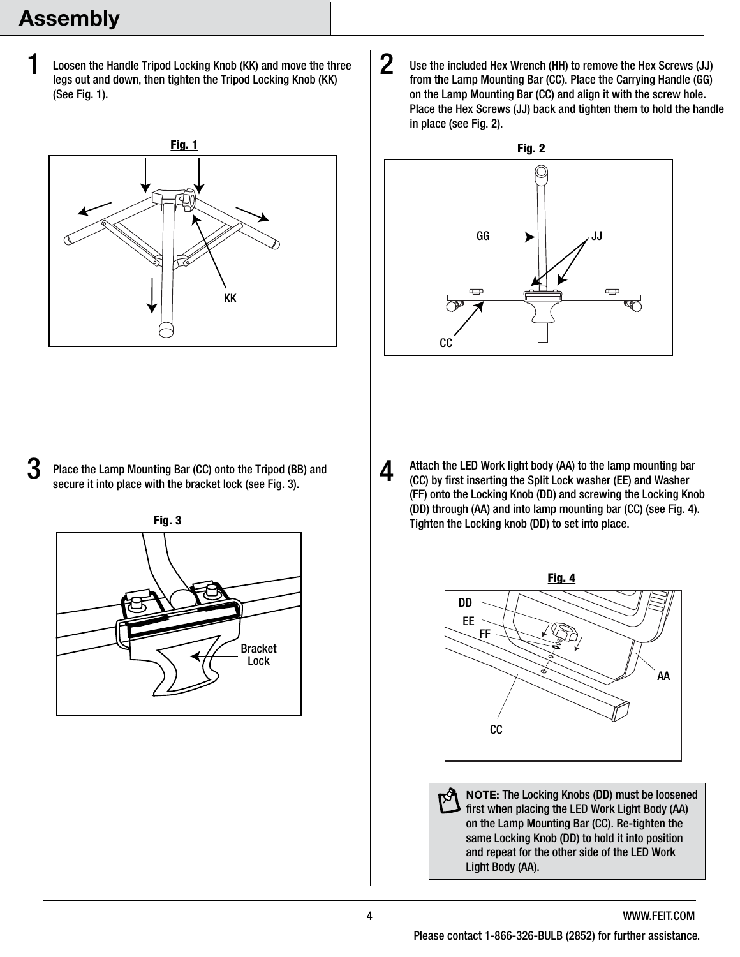## Assembly

1

Loosen the Handle Tripod Locking Knob (KK) and move the three legs out and down, then tighten the Tripod Locking Knob (KK) (See Fig. 1).



 $3$  Place the Lamp Mounting Bar (CC) onto the Tripod (BB) and secure it into place with the bracket lock (see Fig. 3).



Use the included Hex Wrench (HH) to remove the Hex Screws (JJ) from the Lamp Mounting Bar (CC). Place the Carrying Handle (GG) on the Lamp Mounting Bar (CC) and align it with the screw hole. Place the Hex Screws (JJ) back and tighten them to hold the handle in place (see Fig. 2). 2



Attach the LED Work light body (AA) to the lamp mounting bar (CC) by first inserting the Split Lock washer (EE) and Washer (FF) onto the Locking Knob (DD) and screwing the Locking Knob (DD) through (AA) and into lamp mounting bar (CC) (see Fig. 4). Tighten the Locking knob (DD) to set into place.



NOTE: The Locking Knobs (DD) must be loosened ष्यि first when placing the LED Work Light Body (AA) on the Lamp Mounting Bar (CC). Re-tighten the same Locking Knob (DD) to hold it into position and repeat for the other side of the LED Work Light Body (AA).